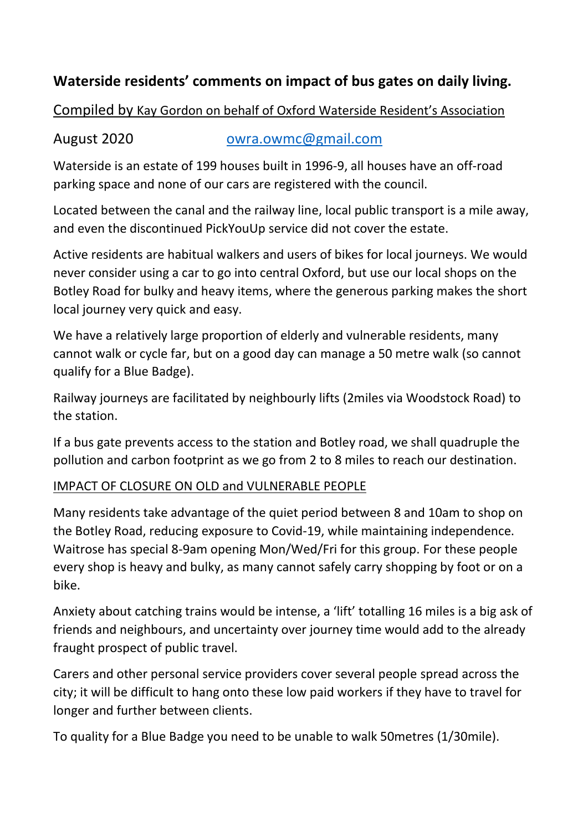# **Waterside residents' comments on impact of bus gates on daily living.**

# Compiled by Kay Gordon on behalf of Oxford Waterside Resident's Association

# August 2020 **[owra.owmc@gmail.com](mailto:owra.owmc@gmail.com)**

Waterside is an estate of 199 houses built in 1996-9, all houses have an off-road parking space and none of our cars are registered with the council.

Located between the canal and the railway line, local public transport is a mile away, and even the discontinued PickYouUp service did not cover the estate.

Active residents are habitual walkers and users of bikes for local journeys. We would never consider using a car to go into central Oxford, but use our local shops on the Botley Road for bulky and heavy items, where the generous parking makes the short local journey very quick and easy.

We have a relatively large proportion of elderly and vulnerable residents, many cannot walk or cycle far, but on a good day can manage a 50 metre walk (so cannot qualify for a Blue Badge).

Railway journeys are facilitated by neighbourly lifts (2miles via Woodstock Road) to the station.

If a bus gate prevents access to the station and Botley road, we shall quadruple the pollution and carbon footprint as we go from 2 to 8 miles to reach our destination.

# IMPACT OF CLOSURE ON OLD and VULNERABLE PEOPLE

Many residents take advantage of the quiet period between 8 and 10am to shop on the Botley Road, reducing exposure to Covid-19, while maintaining independence. Waitrose has special 8-9am opening Mon/Wed/Fri for this group. For these people every shop is heavy and bulky, as many cannot safely carry shopping by foot or on a bike.

Anxiety about catching trains would be intense, a 'lift' totalling 16 miles is a big ask of friends and neighbours, and uncertainty over journey time would add to the already fraught prospect of public travel.

Carers and other personal service providers cover several people spread across the city; it will be difficult to hang onto these low paid workers if they have to travel for longer and further between clients.

To quality for a Blue Badge you need to be unable to walk 50metres (1/30mile).